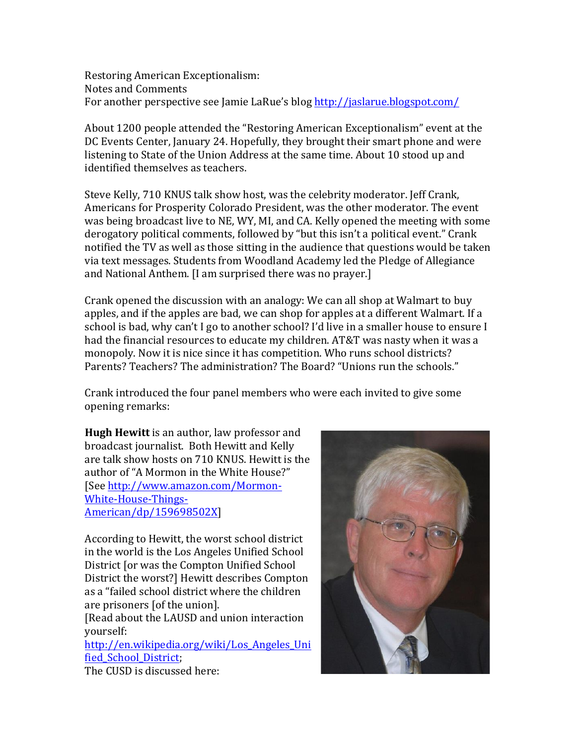Restoring American Exceptionalism: Notes and Comments For another perspective see Jamie LaRue's blog http://jaslarue.blogspot.com/

About 1200 people attended the "Restoring American Exceptionalism" event at the DC Events Center, January 24. Hopefully, they brought their smart phone and were listening to State of the Union Address at the same time. About 10 stood up and identified themselves as teachers.

Steve Kelly, 710 KNUS talk show host, was the celebrity moderator. Jeff Crank, Americans for Prosperity Colorado President, was the other moderator. The event was being broadcast live to NE, WY, MI, and CA. Kelly opened the meeting with some derogatory political comments, followed by "but this isn't a political event." Crank notified the TV as well as those sitting in the audience that questions would be taken via text messages. Students from Woodland Academy led the Pledge of Allegiance and National Anthem. [I am surprised there was no prayer.]

Crank opened the discussion with an analogy: We can all shop at Walmart to buy apples, and if the apples are bad, we can shop for apples at a different Walmart. If a school is bad, why can't I go to another school? I'd live in a smaller house to ensure I had the financial resources to educate my children. AT&T was nasty when it was a monopoly. Now it is nice since it has competition. Who runs school districts? Parents? Teachers? The administration? The Board? "Unions run the schools."

Crank introduced the four panel members who were each invited to give some opening remarks:

**Hugh Hewitt** is an author, law professor and broadcast journalist. Both Hewitt and Kelly are talk show hosts on 710 KNUS. Hewitt is the author of "A Mormon in the White House?" [See http://www.amazon.com/Mormon-White-House-Things-American/dp/159698502X]

According to Hewitt, the worst school district in the world is the Los Angeles Unified School District for was the Compton Unified School District the worst?] Hewitt describes Compton as a "failed school district where the children are prisoners [of the union].

[Read about the LAUSD and union interaction yourself:

http://en.wikipedia.org/wiki/Los\_Angeles\_Uni fied School District;



The CUSD is discussed here: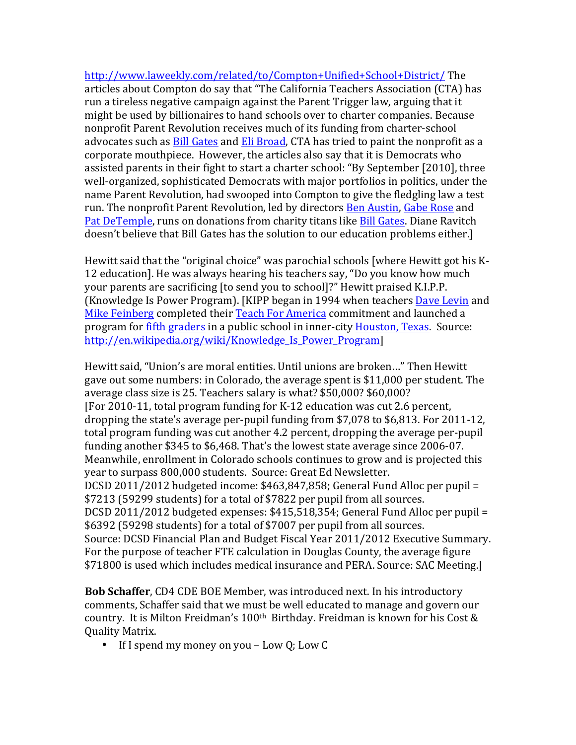http://www.laweekly.com/related/to/Compton+Unified+School+District/ The\* articles about Compton do say that "The California Teachers Association (CTA) has run a tireless negative campaign against the Parent Trigger law, arguing that it might be used by billionaires to hand schools over to charter companies. Because nonprofit Parent Revolution receives much of its funding from charter-school advocates such as Bill Gates and Eli Broad, CTA has tried to paint the nonprofit as a corporate mouthpiece. However, the articles also say that it is Democrats who assisted parents in their fight to start a charter school: "By September [2010], three well-organized, sophisticated Democrats with major portfolios in politics, under the name Parent Revolution, had swooped into Compton to give the fledgling law a test run. The nonprofit Parent Revolution, led by directors Ben Austin, Gabe Rose and Pat DeTemple, runs on donations from charity titans like Bill Gates. Diane Ravitch doesn't believe that Bill Gates has the solution to our education problems either.]

Hewitt said that the "original choice" was parochial schools [where Hewitt got his K-12 education]. He was always hearing his teachers say, "Do you know how much your parents are sacrificing [to send you to school]?" Hewitt praised K.I.P.P. (Knowledge Is Power Program). [KIPP began in 1994 when teachers Dave Levin and Mike Feinberg completed their Teach For America commitment and launched a program for fifth graders in a public school in inner-city Houston, Texas. Source: http://en.wikipedia.org/wiki/Knowledge\_Is\_Power\_Program]

Hewitt said, "Union's are moral entities. Until unions are broken..." Then Hewitt gave out some numbers: in Colorado, the average spent is \$11,000 per student. The average class size is 25. Teachers salary is what?  $$50,000$ ?  $$60,000$ ? [For 2010-11, total program funding for K-12 education was cut 2.6 percent, dropping the state's average per-pupil funding from  $$7,078$  to  $$6,813$ . For 2011-12, total program funding was cut another 4.2 percent, dropping the average per-pupil funding another \$345 to \$6,468. That's the lowest state average since  $2006-07$ . Meanwhile, enrollment in Colorado schools continues to grow and is projected this year to surpass 800,000 students. Source: Great Ed Newsletter. DCSD 2011/2012 budgeted income:  $$463,847,858$ ; General Fund Alloc per pupil = \$7213 (59299 students) for a total of \$7822 per pupil from all sources. DCSD 2011/2012 budgeted expenses:  $$415,518,354$ ; General Fund Alloc per pupil = \$6392 (59298 students) for a total of \$7007 per pupil from all sources. Source: DCSD Financial Plan and Budget Fiscal Year 2011/2012 Executive Summary. For the purpose of teacher FTE calculation in Douglas County, the average figure \$71800 is used which includes medical insurance and PERA. Source: SAC Meeting.]

**Bob Schaffer, CD4 CDE BOE Member, was introduced next. In his introductory** comments, Schaffer said that we must be well educated to manage and govern our country. It is Milton Freidman's 100<sup>th</sup> Birthday. Freidman is known for his Cost & Quality Matrix.

• If I spend my money on you – Low Q; Low  $C$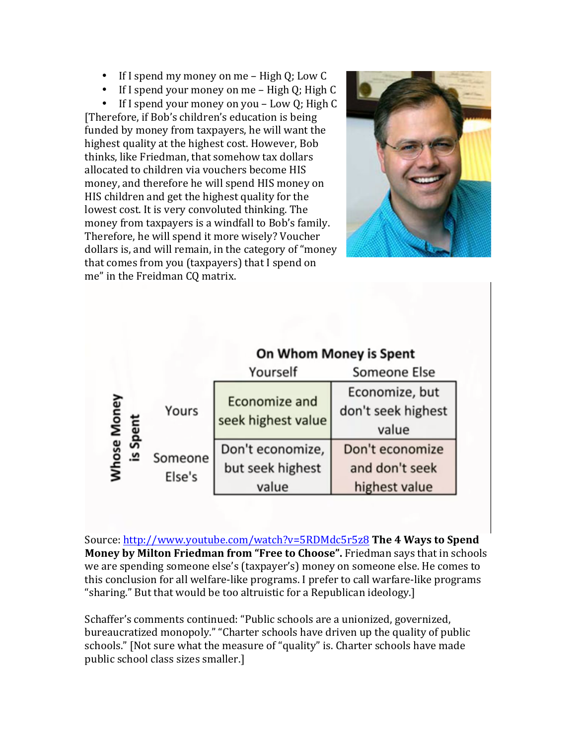- If I spend my money on me High  $Q$ ; Low  $C$
- If I spend your money on me High Q; High  $C$

• If I spend your money on you – Low Q; High C [Therefore, if Bob's children's education is being funded by money from taxpayers, he will want the highest quality at the highest cost. However, Bob thinks, like Friedman, that somehow tax dollars allocated to children via vouchers become HIS money, and therefore he will spend HIS money on HIS children and get the highest quality for the lowest cost. It is very convoluted thinking. The money from taxpayers is a windfall to Bob's family. Therefore, he will spend it more wisely? Voucher dollars is, and will remain, in the category of "money" that comes from you (taxpayers) that I spend on me" in the Freidman CO matrix.



|                                 |                   | On Whom Money is Spent                        |                                                    |
|---------------------------------|-------------------|-----------------------------------------------|----------------------------------------------------|
|                                 |                   | Yourself                                      | Someone Else                                       |
| <b>Mhose Money</b><br>Spe<br>ء. | Yours             | Economize and<br>seek highest value           | Economize, but<br>don't seek highest<br>value      |
|                                 | Someone<br>Else's | Don't economize,<br>but seek highest<br>value | Don't economize<br>and don't seek<br>highest value |

Source: http://www.youtube.com/watch?v=5RDMdc5r5z8 **The 4 Ways to Spend Money by Milton Friedman from "Free to Choose".** Friedman says that in schools we are spending someone else's (taxpayer's) money on someone else. He comes to this conclusion for all welfare-like programs. I prefer to call warfare-like programs "sharing." But that would be too altruistic for a Republican ideology.]

Schaffer's comments continued: "Public schools are a unionized, governized, bureaucratized monopoly." "Charter schools have driven up the quality of public schools." [Not sure what the measure of "quality" is. Charter schools have made public school class sizes smaller.]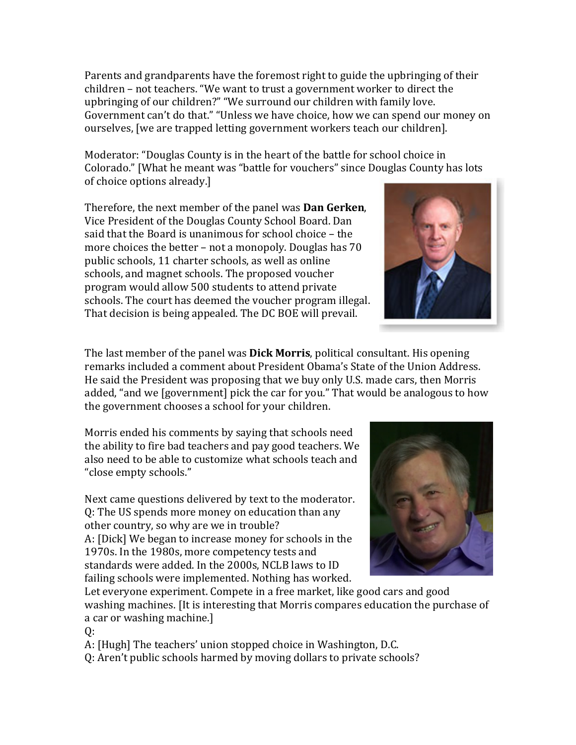Parents and grandparents have the foremost right to guide the upbringing of their children – not teachers. "We want to trust a government worker to direct the upbringing of our children?" "We surround our children with family love. Government can't do that." "Unless we have choice, how we can spend our money on ourselves, [we are trapped letting government workers teach our children].

Moderator: "Douglas County is in the heart of the battle for school choice in Colorado." [What he meant was "battle for vouchers" since Douglas County has lots of choice options already.]

Therefore, the next member of the panel was **Dan Gerken**, Vice President of the Douglas County School Board. Dan said that the Board is unanimous for school choice – the more choices the better – not a monopoly. Douglas has  $70^{\circ}$ public schools, 11 charter schools, as well as online schools, and magnet schools. The proposed voucher program would allow 500 students to attend private schools. The court has deemed the voucher program illegal. That decision is being appealed. The DC BOE will prevail.

The last member of the panel was **Dick Morris**, political consultant. His opening remarks included a comment about President Obama's State of the Union Address. He said the President was proposing that we buy only U.S. made cars, then Morris added, "and we [government] pick the car for you." That would be analogous to how the government chooses a school for your children.

Morris ended his comments by saying that schools need the ability to fire bad teachers and pay good teachers. We also need to be able to customize what schools teach and "close empty schools."

Next came questions delivered by text to the moderator. Q: The US spends more money on education than any other country, so why are we in trouble? A: [Dick] We began to increase money for schools in the 1970s. In the 1980s, more competency tests and standards were added. In the 2000s, NCLB laws to ID failing schools were implemented. Nothing has worked.



Let everyone experiment. Compete in a free market, like good cars and good washing machines. [It is interesting that Morris compares education the purchase of a car or washing machine.]

Q:

A: [Hugh] The teachers' union stopped choice in Washington, D.C.

Q: Aren't public schools harmed by moving dollars to private schools?

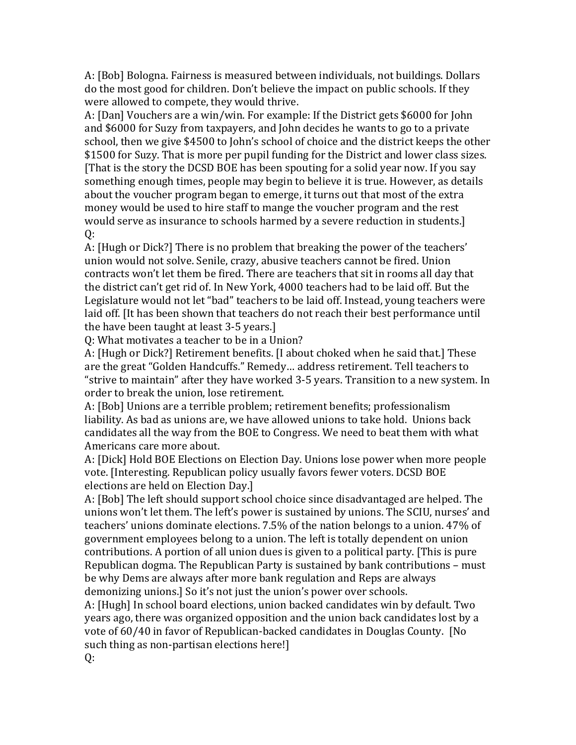A: [Bob] Bologna. Fairness is measured between individuals, not buildings. Dollars do the most good for children. Don't believe the impact on public schools. If they were allowed to compete, they would thrive.

A: [Dan] Vouchers are a win/win. For example: If the District gets \$6000 for John and \$6000 for Suzy from taxpayers, and John decides he wants to go to a private school, then we give \$4500 to John's school of choice and the district keeps the other \$1500 for Suzy. That is more per pupil funding for the District and lower class sizes. [That is the story the DCSD BOE has been spouting for a solid year now. If you say something enough times, people may begin to believe it is true. However, as details about the voucher program began to emerge, it turns out that most of the extra money would be used to hire staff to mange the voucher program and the rest would serve as insurance to schools harmed by a severe reduction in students.]  $0:$ 

A: [Hugh or Dick?] There is no problem that breaking the power of the teachers' union would not solve. Senile, crazy, abusive teachers cannot be fired. Union contracts won't let them be fired. There are teachers that sit in rooms all day that the district can't get rid of. In New York, 4000 teachers had to be laid off. But the Legislature would not let "bad" teachers to be laid off. Instead, young teachers were laid off. [It has been shown that teachers do not reach their best performance until the have been taught at least  $3-5$  years.]

Q: What motivates a teacher to be in a Union?

A: [Hugh or Dick?] Retirement benefits. [I about choked when he said that.] These are the great "Golden Handcuffs." Remedy... address retirement. Tell teachers to "strive to maintain" after they have worked  $3-5$  years. Transition to a new system. In order to break the union, lose retirement.

A: [Bob] Unions are a terrible problem; retirement benefits; professionalism liability. As bad as unions are, we have allowed unions to take hold. Unions back candidates all the way from the BOE to Congress. We need to beat them with what Americans care more about.

A: [Dick] Hold BOE Elections on Election Day. Unions lose power when more people vote. [Interesting. Republican policy usually favors fewer voters. DCSD BOE elections are held on Election Day.]

A: [Bob] The left should support school choice since disadvantaged are helped. The unions won't let them. The left's power is sustained by unions. The SCIU, nurses' and teachers' unions dominate elections. 7.5% of the nation belongs to a union. 47% of government employees belong to a union. The left is totally dependent on union contributions. A portion of all union dues is given to a political party. [This is pure Republican dogma. The Republican Party is sustained by bank contributions – must be why Dems are always after more bank regulation and Reps are always demonizing unions.] So it's not just the union's power over schools.

A: [Hugh] In school board elections, union backed candidates win by default. Two years ago, there was organized opposition and the union back candidates lost by a vote of 60/40 in favor of Republican-backed candidates in Douglas County. [No such thing as non-partisan elections here!]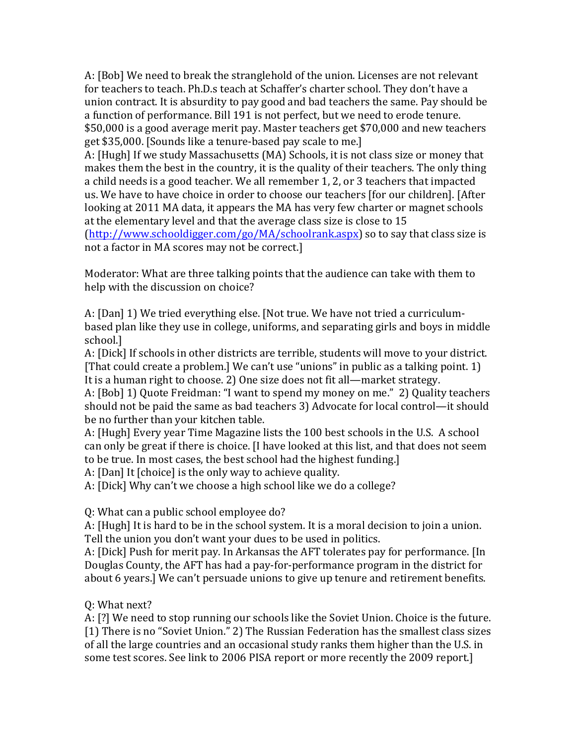A: [Bob] We need to break the stranglehold of the union. Licenses are not relevant for teachers to teach. Ph.D.s teach at Schaffer's charter school. They don't have a union contract. It is absurdity to pay good and bad teachers the same. Pay should be a function of performance. Bill 191 is not perfect, but we need to erode tenure. \$50,000 is a good average merit pay. Master teachers get \$70,000 and new teachers get \$35,000. [Sounds like a tenure-based pay scale to me.]

A: [Hugh] If we study Massachusetts (MA) Schools, it is not class size or money that makes them the best in the country, it is the quality of their teachers. The only thing a child needs is a good teacher. We all remember 1, 2, or 3 teachers that impacted us. We have to have choice in order to choose our teachers [for our children]. [After looking at 2011 MA data, it appears the MA has very few charter or magnet schools at the elementary level and that the average class size is close to 15  $(\text{http://www.schooldigger.com/go/MA/schoolrank.aspx})$  so to say that class size is not a factor in MA scores may not be correct.]

Moderator: What are three talking points that the audience can take with them to help with the discussion on choice?

A: [Dan] 1) We tried everything else. [Not true. We have not tried a curriculumbased plan like they use in college, uniforms, and separating girls and boys in middle school.]

A: [Dick] If schools in other districts are terrible, students will move to your district. [That could create a problem.] We can't use "unions" in public as a talking point. 1) It is a human right to choose. 2) One size does not fit all—market strategy.

A: [Bob] 1) Quote Freidman: "I want to spend my money on me." 2) Quality teachers should not be paid the same as bad teachers 3) Advocate for local control—it should be no further than your kitchen table.

A: [Hugh] Every year Time Magazine lists the 100 best schools in the U.S. A school can only be great if there is choice. [I have looked at this list, and that does not seem to be true. In most cases, the best school had the highest funding.]

A: [Dan] It [choice] is the only way to achieve quality.

A: [Dick] Why can't we choose a high school like we do a college?

Q: What can a public school employee do?

A: [Hugh] It is hard to be in the school system. It is a moral decision to join a union. Tell the union you don't want your dues to be used in politics.

A: [Dick] Push for merit pay. In Arkansas the AFT tolerates pay for performance. [In Douglas County, the AFT has had a pay-for-performance program in the district for about 6 years.] We can't persuade unions to give up tenure and retirement benefits.

## Q: What next?

A: [?] We need to stop running our schools like the Soviet Union. Choice is the future. [1] There is no "Soviet Union." 2) The Russian Federation has the smallest class sizes of all the large countries and an occasional study ranks them higher than the U.S. in some test scores. See link to 2006 PISA report or more recently the 2009 report.]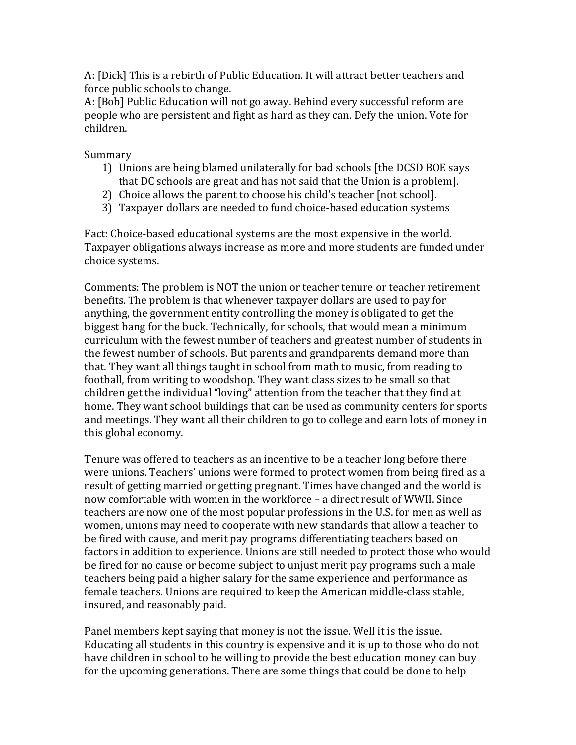A: [Dick] This is a rebirth of Public Education. It will attract better teachers and force public schools to change.

A: [Bob] Public Education will not go away. Behind every successful reform are people who are persistent and fight as hard as they can. Defy the union. Vote for children.

Summary

- 1) Unions are being blamed unilaterally for bad schools [the DCSD BOE says] that DC schools are great and has not said that the Union is a problem].
- 2) Choice allows the parent to choose his child's teacher [not school].
- 3) Taxpayer dollars are needed to fund choice-based education systems

Fact: Choice-based educational systems are the most expensive in the world. Taxpayer obligations always increase as more and more students are funded under choice systems.

Comments: The problem is NOT the union or teacher tenure or teacher retirement benefits. The problem is that whenever taxpayer dollars are used to pay for anything, the government entity controlling the money is obligated to get the biggest bang for the buck. Technically, for schools, that would mean a minimum curriculum with the fewest number of teachers and greatest number of students in the fewest number of schools. But parents and grandparents demand more than that. They want all things taught in school from math to music, from reading to football, from writing to woodshop. They want class sizes to be small so that children get the individual "loving" attention from the teacher that they find at home. They want school buildings that can be used as community centers for sports and meetings. They want all their children to go to college and earn lots of money in this global economy.

Tenure was offered to teachers as an incentive to be a teacher long before there were unions. Teachers' unions were formed to protect women from being fired as a result of getting married or getting pregnant. Times have changed and the world is now comfortable with women in the workforce – a direct result of WWII. Since teachers are now one of the most popular professions in the U.S. for men as well as women, unions may need to cooperate with new standards that allow a teacher to be fired with cause, and merit pay programs differentiating teachers based on factors in addition to experience. Unions are still needed to protect those who would be fired for no cause or become subject to unjust merit pay programs such a male teachers being paid a higher salary for the same experience and performance as female teachers. Unions are required to keep the American middle-class stable, insured, and reasonably paid.

Panel members kept saying that money is not the issue. Well it is the issue. Educating all students in this country is expensive and it is up to those who do not have children in school to be willing to provide the best education money can buy for the upcoming generations. There are some things that could be done to help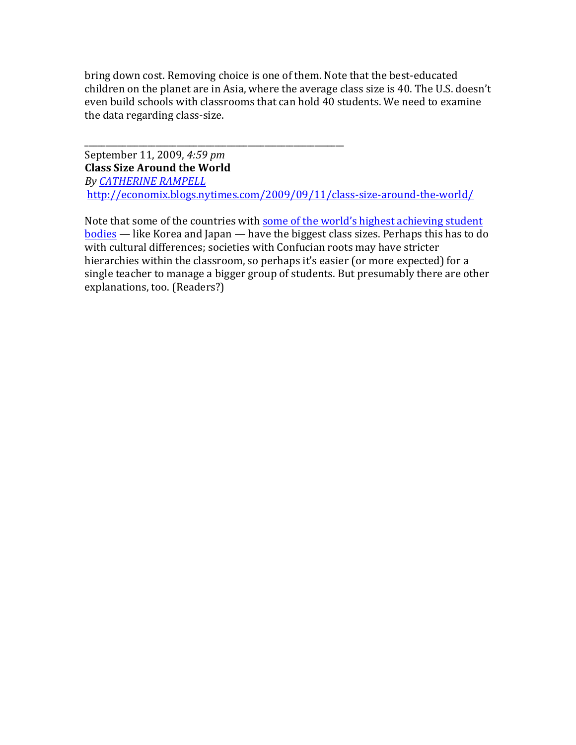bring down cost. Removing choice is one of them. Note that the best-educated children on the planet are in Asia, where the average class size is 40. The U.S. doesn't even build schools with classrooms that can hold 40 students. We need to examine the data regarding class-size.

September 11, 2009, 4:59 pm **Class Size Around the World** *By%CATHERINE%RAMPELL%* http://economix.blogs.nytimes.com/2009/09/11/class-size-around-the-world/

\_\_\_\_\_\_\_\_\_\_\_\_\_\_\_\_\_\_\_\_\_\_\_\_\_\_\_\_\_\_\_\_\_\_\_\_\_\_\_\_\_\_\_\_\_\_\_\_\_\_\_\_\_\_\_\_\_\_\_\_\_\_

Note that some of the countries with some of the world's highest achieving student <u>bodies</u> — like Korea and Japan — have the biggest class sizes. Perhaps this has to do with cultural differences; societies with Confucian roots may have stricter hierarchies within the classroom, so perhaps it's easier (or more expected) for a single teacher to manage a bigger group of students. But presumably there are other explanations, too. (Readers?)